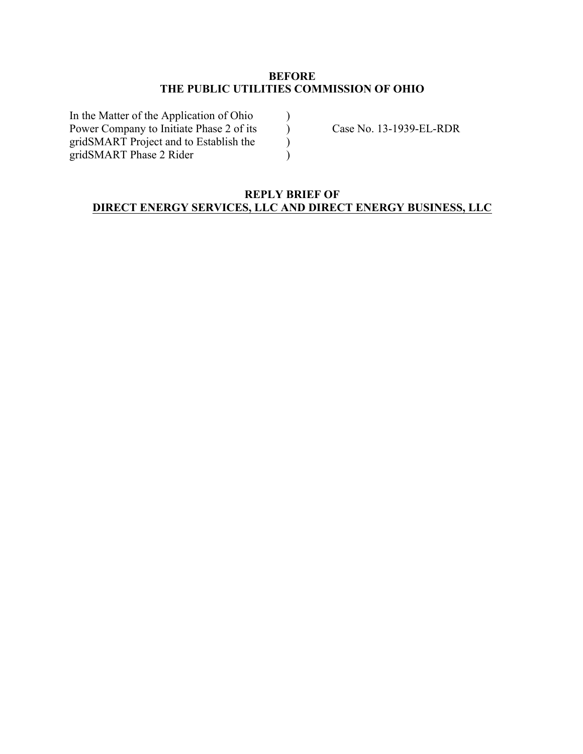## **BEFORE THE PUBLIC UTILITIES COMMISSION OF OHIO**

 $\lambda$  $\mathcal{L}$ ) )

In the Matter of the Application of Ohio Power Company to Initiate Phase 2 of its gridSMART Project and to Establish the gridSMART Phase 2 Rider

Case No. 13-1939-EL-RDR

## **REPLY BRIEF OF DIRECT ENERGY SERVICES, LLC AND DIRECT ENERGY BUSINESS, LLC**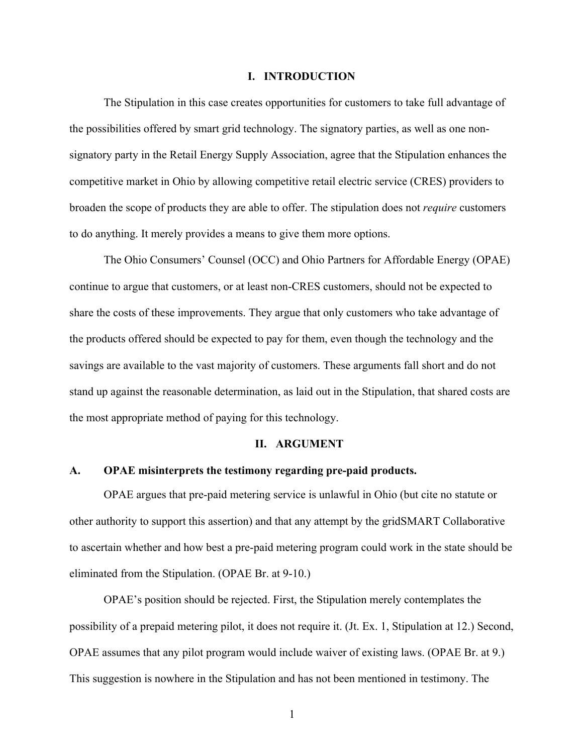#### **I. INTRODUCTION**

The Stipulation in this case creates opportunities for customers to take full advantage of the possibilities offered by smart grid technology. The signatory parties, as well as one nonsignatory party in the Retail Energy Supply Association, agree that the Stipulation enhances the competitive market in Ohio by allowing competitive retail electric service (CRES) providers to broaden the scope of products they are able to offer. The stipulation does not *require* customers to do anything. It merely provides a means to give them more options.

The Ohio Consumers' Counsel (OCC) and Ohio Partners for Affordable Energy (OPAE) continue to argue that customers, or at least non-CRES customers, should not be expected to share the costs of these improvements. They argue that only customers who take advantage of the products offered should be expected to pay for them, even though the technology and the savings are available to the vast majority of customers. These arguments fall short and do not stand up against the reasonable determination, as laid out in the Stipulation, that shared costs are the most appropriate method of paying for this technology.

### **II. ARGUMENT**

### **A. OPAE misinterprets the testimony regarding pre-paid products.**

OPAE argues that pre-paid metering service is unlawful in Ohio (but cite no statute or other authority to support this assertion) and that any attempt by the gridSMART Collaborative to ascertain whether and how best a pre-paid metering program could work in the state should be eliminated from the Stipulation. (OPAE Br. at 9-10.)

OPAE's position should be rejected. First, the Stipulation merely contemplates the possibility of a prepaid metering pilot, it does not require it. (Jt. Ex. 1, Stipulation at 12.) Second, OPAE assumes that any pilot program would include waiver of existing laws. (OPAE Br. at 9.) This suggestion is nowhere in the Stipulation and has not been mentioned in testimony. The

1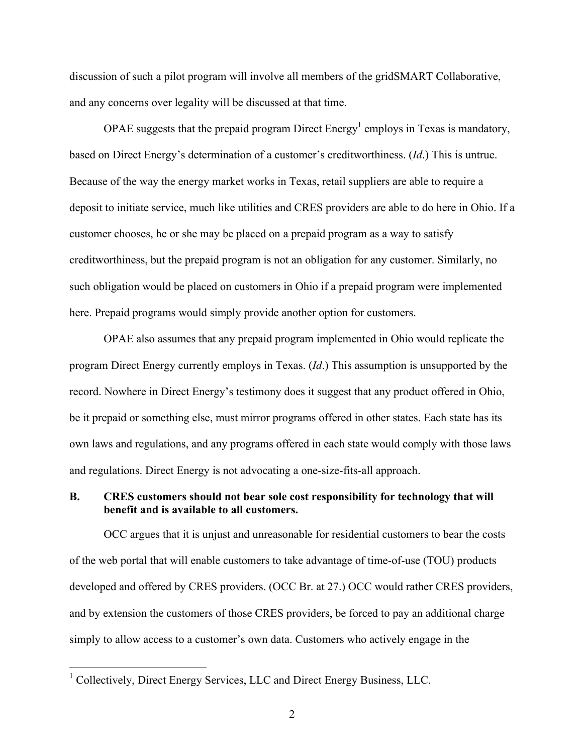discussion of such a pilot program will involve all members of the gridSMART Collaborative, and any concerns over legality will be discussed at that time.

OPAE suggests that the prepaid program Direct Energy<sup>1</sup> employs in Texas is mandatory, based on Direct Energy's determination of a customer's creditworthiness. (*Id*.) This is untrue. Because of the way the energy market works in Texas, retail suppliers are able to require a deposit to initiate service, much like utilities and CRES providers are able to do here in Ohio. If a customer chooses, he or she may be placed on a prepaid program as a way to satisfy creditworthiness, but the prepaid program is not an obligation for any customer. Similarly, no such obligation would be placed on customers in Ohio if a prepaid program were implemented here. Prepaid programs would simply provide another option for customers.

OPAE also assumes that any prepaid program implemented in Ohio would replicate the program Direct Energy currently employs in Texas. (*Id*.) This assumption is unsupported by the record. Nowhere in Direct Energy's testimony does it suggest that any product offered in Ohio, be it prepaid or something else, must mirror programs offered in other states. Each state has its own laws and regulations, and any programs offered in each state would comply with those laws and regulations. Direct Energy is not advocating a one-size-fits-all approach.

## **B. CRES customers should not bear sole cost responsibility for technology that will benefit and is available to all customers.**

OCC argues that it is unjust and unreasonable for residential customers to bear the costs of the web portal that will enable customers to take advantage of time-of-use (TOU) products developed and offered by CRES providers. (OCC Br. at 27.) OCC would rather CRES providers, and by extension the customers of those CRES providers, be forced to pay an additional charge simply to allow access to a customer's own data. Customers who actively engage in the

<sup>&</sup>lt;sup>1</sup> Collectively, Direct Energy Services, LLC and Direct Energy Business, LLC.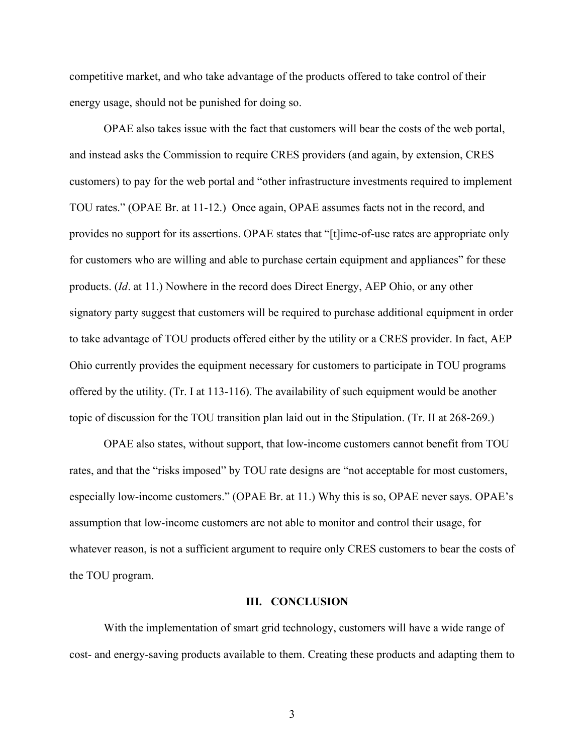competitive market, and who take advantage of the products offered to take control of their energy usage, should not be punished for doing so.

OPAE also takes issue with the fact that customers will bear the costs of the web portal, and instead asks the Commission to require CRES providers (and again, by extension, CRES customers) to pay for the web portal and "other infrastructure investments required to implement TOU rates." (OPAE Br. at 11-12.) Once again, OPAE assumes facts not in the record, and provides no support for its assertions. OPAE states that "[t]ime-of-use rates are appropriate only for customers who are willing and able to purchase certain equipment and appliances" for these products. (*Id*. at 11.) Nowhere in the record does Direct Energy, AEP Ohio, or any other signatory party suggest that customers will be required to purchase additional equipment in order to take advantage of TOU products offered either by the utility or a CRES provider. In fact, AEP Ohio currently provides the equipment necessary for customers to participate in TOU programs offered by the utility. (Tr. I at 113-116). The availability of such equipment would be another topic of discussion for the TOU transition plan laid out in the Stipulation. (Tr. II at 268-269.)

OPAE also states, without support, that low-income customers cannot benefit from TOU rates, and that the "risks imposed" by TOU rate designs are "not acceptable for most customers, especially low-income customers." (OPAE Br. at 11.) Why this is so, OPAE never says. OPAE's assumption that low-income customers are not able to monitor and control their usage, for whatever reason, is not a sufficient argument to require only CRES customers to bear the costs of the TOU program.

### **III. CONCLUSION**

With the implementation of smart grid technology, customers will have a wide range of cost- and energy-saving products available to them. Creating these products and adapting them to

3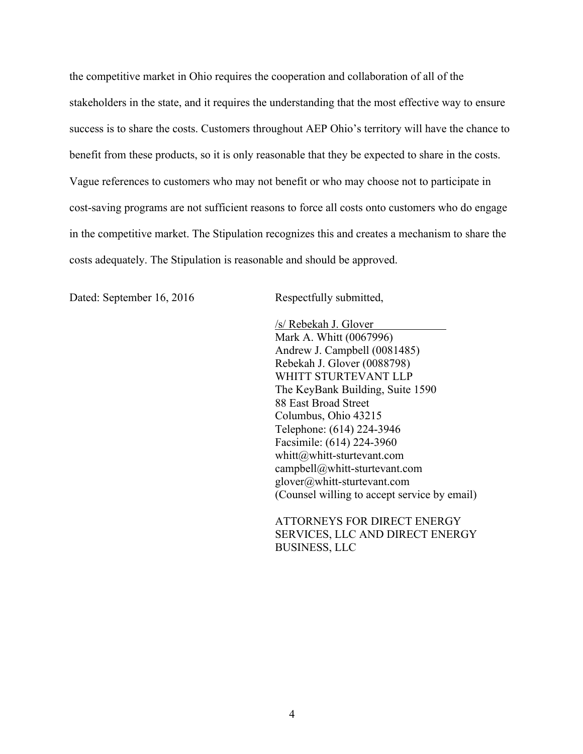the competitive market in Ohio requires the cooperation and collaboration of all of the stakeholders in the state, and it requires the understanding that the most effective way to ensure success is to share the costs. Customers throughout AEP Ohio's territory will have the chance to benefit from these products, so it is only reasonable that they be expected to share in the costs. Vague references to customers who may not benefit or who may choose not to participate in cost-saving programs are not sufficient reasons to force all costs onto customers who do engage in the competitive market. The Stipulation recognizes this and creates a mechanism to share the costs adequately. The Stipulation is reasonable and should be approved.

Dated: September 16, 2016 Respectfully submitted,

/s/ Rebekah J. Glover Mark A. Whitt (0067996) Andrew J. Campbell (0081485) Rebekah J. Glover (0088798) WHITT STURTEVANT LLP The KeyBank Building, Suite 1590 88 East Broad Street Columbus, Ohio 43215 Telephone: (614) 224-3946 Facsimile: (614) 224-3960 whitt@whitt-sturtevant.com campbell@whitt-sturtevant.com glover@whitt-sturtevant.com (Counsel willing to accept service by email)

ATTORNEYS FOR DIRECT ENERGY SERVICES, LLC AND DIRECT ENERGY BUSINESS, LLC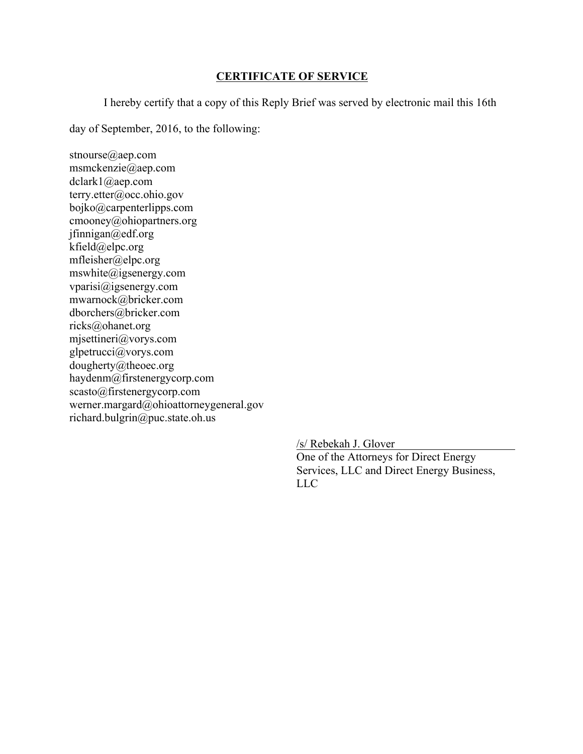# **CERTIFICATE OF SERVICE**

I hereby certify that a copy of this Reply Brief was served by electronic mail this 16th

day of September, 2016, to the following:

stnourse@aep.com msmckenzie@aep.com dclark1@aep.com terry.etter@occ.ohio.gov bojko@carpenterlipps.com cmooney@ohiopartners.org jfinnigan@edf.org kfield@elpc.org mfleisher@elpc.org mswhite@igsenergy.com vparisi@igsenergy.com mwarnock@bricker.com dborchers@bricker.com ricks@ohanet.org mjsettineri@vorys.com glpetrucci@vorys.com dougherty@theoec.org haydenm@firstenergycorp.com scasto@firstenergycorp.com werner.margard@ohioattorneygeneral.gov richard.bulgrin@puc.state.oh.us

/s/ Rebekah J. Glover

One of the Attorneys for Direct Energy Services, LLC and Direct Energy Business, LLC